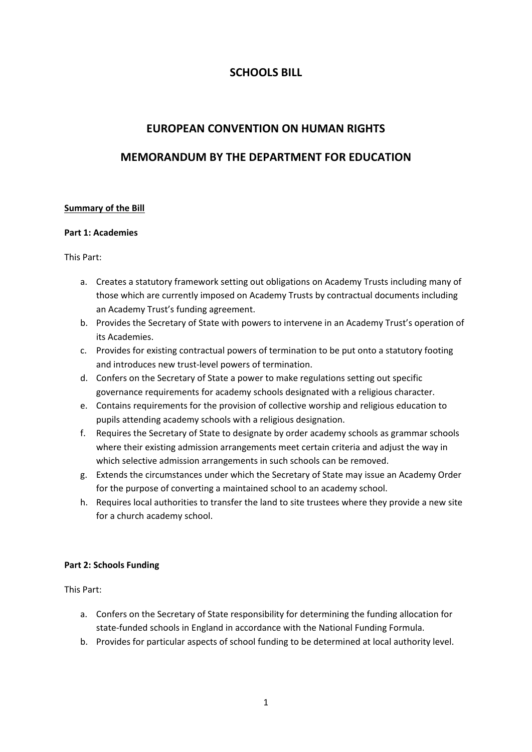# **SCHOOLS BILL**

# **EUROPEAN CONVENTION ON HUMAN RIGHTS**

# **MEMORANDUM BY THE DEPARTMENT FOR EDUCATION**

#### **Summary of the Bill**

#### **Part 1: Academies**

This Part:

- a. Creates a statutory framework setting out obligations on Academy Trusts including many of those which are currently imposed on Academy Trusts by contractual documents including an Academy Trust's funding agreement.
- b. Provides the Secretary of State with powers to intervene in an Academy Trust's operation of its Academies.
- c. Provides for existing contractual powers of termination to be put onto a statutory footing and introduces new trust-level powers of termination.
- d. Confers on the Secretary of State a power to make regulations setting out specific governance requirements for academy schools designated with a religious character.
- e. Contains requirements for the provision of collective worship and religious education to pupils attending academy schools with a religious designation.
- f. Requires the Secretary of State to designate by order academy schools as grammar schools where their existing admission arrangements meet certain criteria and adjust the way in which selective admission arrangements in such schools can be removed.
- g. Extends the circumstances under which the Secretary of State may issue an Academy Order for the purpose of converting a maintained school to an academy school.
- h. Requires local authorities to transfer the land to site trustees where they provide a new site for a church academy school.

#### **Part 2: Schools Funding**

This Part:

- a. Confers on the Secretary of State responsibility for determining the funding allocation for state-funded schools in England in accordance with the National Funding Formula.
- b. Provides for particular aspects of school funding to be determined at local authority level.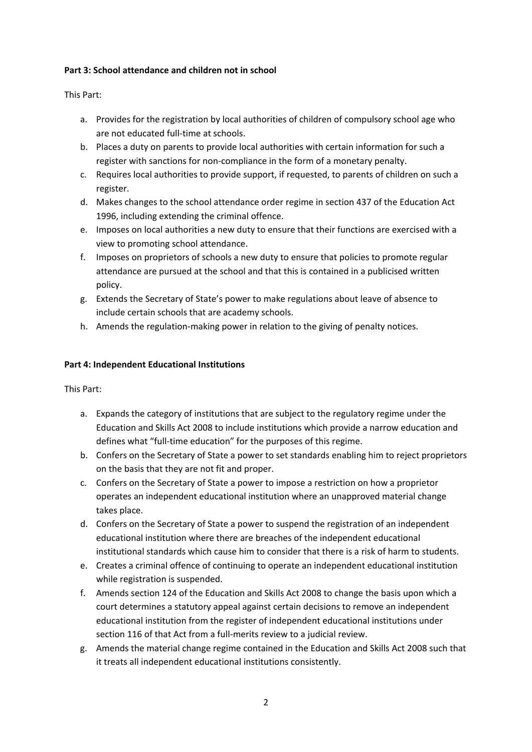## **Part 3: School attendance and children not in school**

This Part:

- a. Provides for the registration by local authorities of children of compulsory school age who are not educated full-time at schools.
- b. Places a duty on parents to provide local authorities with certain information for such a register with sanctions for non-compliance in the form of a monetary penalty.
- c. Requires local authorities to provide support, if requested, to parents of children on such a register.
- d. Makes changes to the school attendance order regime in section 437 of the Education Act 1996, including extending the criminal offence.
- e. Imposes on local authorities a new duty to ensure that their functions are exercised with a view to promoting school attendance.
- f. Imposes on proprietors of schools a new duty to ensure that policies to promote regular attendance are pursued at the school and that this is contained in a publicised written policy.
- g. Extends the Secretary of State's power to make regulations about leave of absence to include certain schools that are academy schools.
- h. Amends the regulation-making power in relation to the giving of penalty notices.

## **Part 4: Independent Educational Institutions**

This Part:

- a. Expands the category of institutions that are subject to the regulatory regime under the Education and Skills Act 2008 to include institutions which provide a narrow education and defines what "full-time education" for the purposes of this regime.
- b. Confers on the Secretary of State a power to set standards enabling him to reject proprietors on the basis that they are not fit and proper.
- c. Confers on the Secretary of State a power to impose a restriction on how a proprietor operates an independent educational institution where an unapproved material change takes place.
- d. Confers on the Secretary of State a power to suspend the registration of an independent educational institution where there are breaches of the independent educational institutional standards which cause him to consider that there is a risk of harm to students.
- e. Creates a criminal offence of continuing to operate an independent educational institution while registration is suspended.
- f. Amends section 124 of the Education and Skills Act 2008 to change the basis upon which a court determines a statutory appeal against certain decisions to remove an independent educational institution from the register of independent educational institutions under section 116 of that Act from a full-merits review to a judicial review.
- g. Amends the material change regime contained in the Education and Skills Act 2008 such that it treats all independent educational institutions consistently.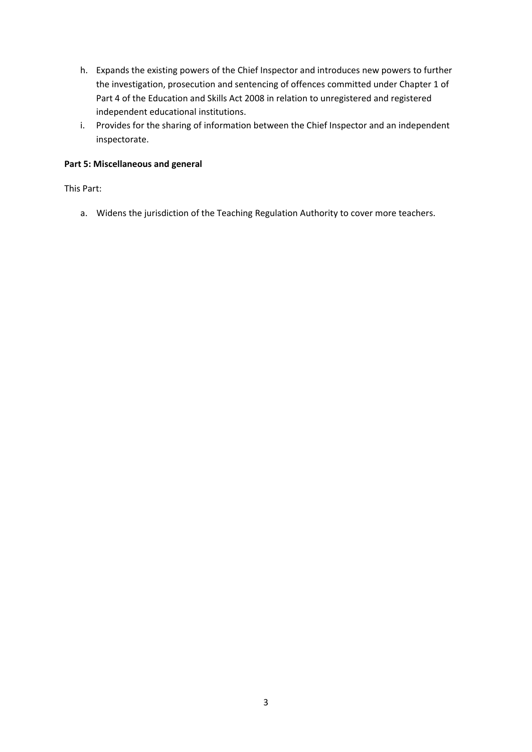- h. Expands the existing powers of the Chief Inspector and introduces new powers to further the investigation, prosecution and sentencing of offences committed under Chapter 1 of Part 4 of the Education and Skills Act 2008 in relation to unregistered and registered independent educational institutions.
- i. Provides for the sharing of information between the Chief Inspector and an independent inspectorate.

## **Part 5: Miscellaneous and general**

This Part:

a. Widens the jurisdiction of the Teaching Regulation Authority to cover more teachers.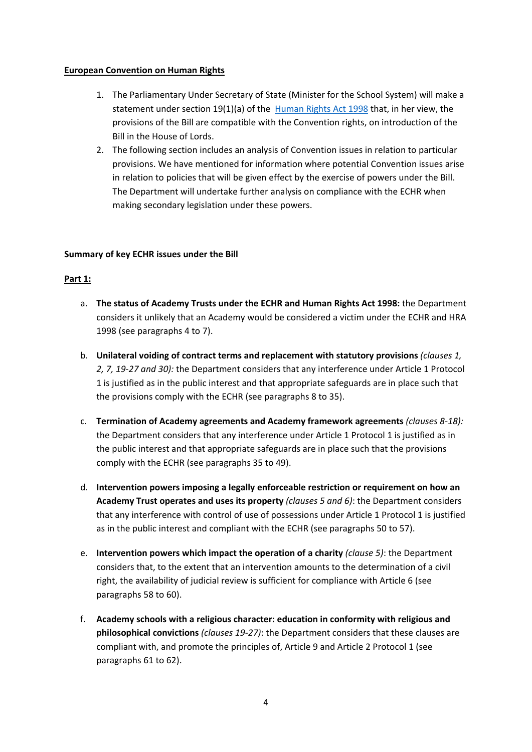## **European Convention on Human Rights**

- 1. The Parliamentary Under Secretary of State (Minister for the School System) will make a statement under section 19(1)(a) of the [Human Rights Act 1998](https://www.legislation.gov.uk/ukpga/1998/42/section/19) that, in her view, the provisions of the Bill are compatible with the Convention rights, on introduction of the Bill in the House of Lords.
- 2. The following section includes an analysis of Convention issues in relation to particular provisions. We have mentioned for information where potential Convention issues arise in relation to policies that will be given effect by the exercise of powers under the Bill. The Department will undertake further analysis on compliance with the ECHR when making secondary legislation under these powers.

## **Summary of key ECHR issues under the Bill**

## **Part 1:**

- a. **The status of Academy Trusts under the ECHR and Human Rights Act 1998:** the Department considers it unlikely that an Academy would be considered a victim under the ECHR and HRA 1998 (see paragraphs 4 to 7).
- b. **Unilateral voiding of contract terms and replacement with statutory provisions** *(clauses 1, 2, 7, 19-27 and 30):* the Department considers that any interference under Article 1 Protocol 1 is justified as in the public interest and that appropriate safeguards are in place such that the provisions comply with the ECHR (see paragraphs 8 to 35).
- c. **Termination of Academy agreements and Academy framework agreements** *(clauses 8-18):*  the Department considers that any interference under Article 1 Protocol 1 is justified as in the public interest and that appropriate safeguards are in place such that the provisions comply with the ECHR (see paragraphs 35 to 49).
- d. **Intervention powers imposing a legally enforceable restriction or requirement on how an Academy Trust operates and uses its property** *(clauses 5 and 6)*: the Department considers that any interference with control of use of possessions under Article 1 Protocol 1 is justified as in the public interest and compliant with the ECHR (see paragraphs 50 to 57).
- e. **Intervention powers which impact the operation of a charity** *(clause 5)*: the Department considers that, to the extent that an intervention amounts to the determination of a civil right, the availability of judicial review is sufficient for compliance with Article 6 (see paragraphs 58 to 60).
- f. **Academy schools with a religious character: education in conformity with religious and philosophical convictions** *(clauses 19-27)*: the Department considers that these clauses are compliant with, and promote the principles of, Article 9 and Article 2 Protocol 1 (see paragraphs 61 to 62).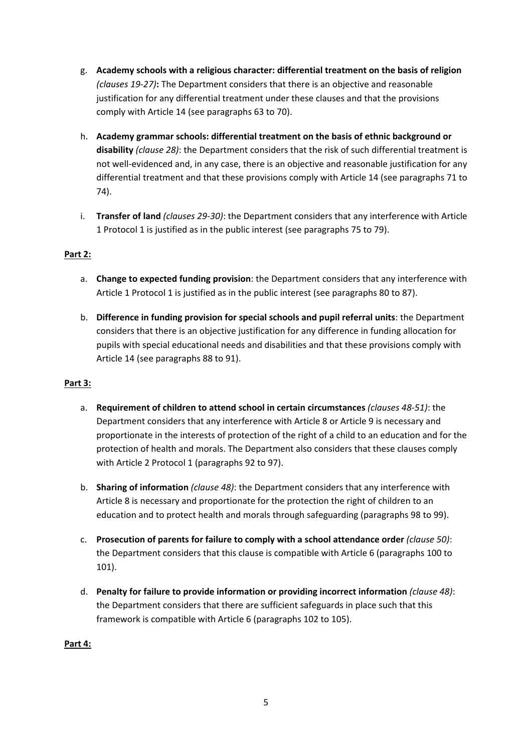- g. **Academy schools with a religious character: differential treatment on the basis of religion**  *(clauses 19-27)***:** The Department considers that there is an objective and reasonable justification for any differential treatment under these clauses and that the provisions comply with Article 14 (see paragraphs 63 to 70).
- h. **Academy grammar schools: differential treatment on the basis of ethnic background or disability** *(clause 28)*: the Department considers that the risk of such differential treatment is not well-evidenced and, in any case, there is an objective and reasonable justification for any differential treatment and that these provisions comply with Article 14 (see paragraphs 71 to 74).
- i. **Transfer of land** *(clauses 29-30)*: the Department considers that any interference with Article 1 Protocol 1 is justified as in the public interest (see paragraphs 75 to 79).

## **Part 2:**

- a. **Change to expected funding provision**: the Department considers that any interference with Article 1 Protocol 1 is justified as in the public interest (see paragraphs 80 to 87).
- b. **Difference in funding provision for special schools and pupil referral units**: the Department considers that there is an objective justification for any difference in funding allocation for pupils with special educational needs and disabilities and that these provisions comply with Article 14 (see paragraphs 88 to 91).

## **Part 3:**

- a. **Requirement of children to attend school in certain circumstances** *(clauses 48-51)*: the Department considers that any interference with Article 8 or Article 9 is necessary and proportionate in the interests of protection of the right of a child to an education and for the protection of health and morals. The Department also considers that these clauses comply with Article 2 Protocol 1 (paragraphs 92 to 97).
- b. **Sharing of information** *(clause 48)*: the Department considers that any interference with Article 8 is necessary and proportionate for the protection the right of children to an education and to protect health and morals through safeguarding (paragraphs 98 to 99).
- c. **Prosecution of parents for failure to comply with a school attendance order** *(clause 50)*: the Department considers that this clause is compatible with Article 6 (paragraphs 100 to 101).
- d. **Penalty for failure to provide information or providing incorrect information** *(clause 48)*: the Department considers that there are sufficient safeguards in place such that this framework is compatible with Article 6 (paragraphs 102 to 105).

## **Part 4:**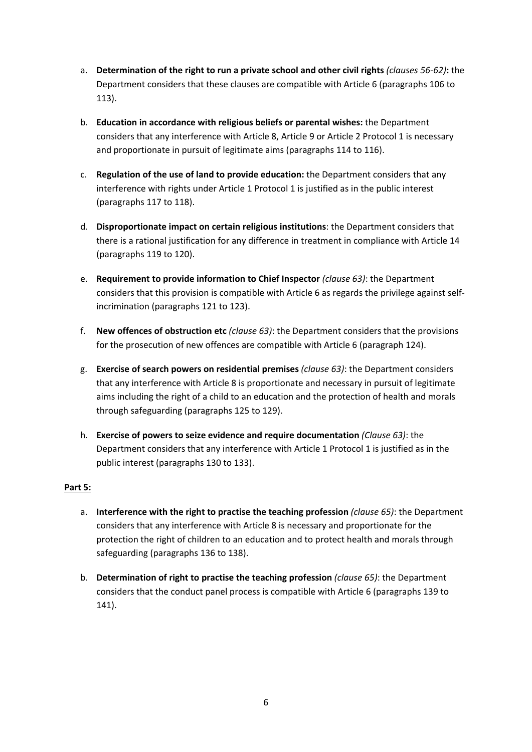- a. **Determination of the right to run a private school and other civil rights** *(clauses 56-62)***:** the Department considers that these clauses are compatible with Article 6 (paragraphs 106 to 113).
- b. **Education in accordance with religious beliefs or parental wishes:** the Department considers that any interference with Article 8, Article 9 or Article 2 Protocol 1 is necessary and proportionate in pursuit of legitimate aims (paragraphs 114 to 116).
- c. **Regulation of the use of land to provide education:** the Department considers that any interference with rights under Article 1 Protocol 1 is justified as in the public interest (paragraphs 117 to 118).
- d. **Disproportionate impact on certain religious institutions**: the Department considers that there is a rational justification for any difference in treatment in compliance with Article 14 (paragraphs 119 to 120).
- e. **Requirement to provide information to Chief Inspector** *(clause 63)*: the Department considers that this provision is compatible with Article 6 as regards the privilege against selfincrimination (paragraphs 121 to 123).
- f. **New offences of obstruction etc** *(clause 63)*: the Department considers that the provisions for the prosecution of new offences are compatible with Article 6 (paragraph 124).
- g. **Exercise of search powers on residential premises** *(clause 63)*: the Department considers that any interference with Article 8 is proportionate and necessary in pursuit of legitimate aims including the right of a child to an education and the protection of health and morals through safeguarding (paragraphs 125 to 129).
- h. **Exercise of powers to seize evidence and require documentation** *(Clause 63)*: the Department considers that any interference with Article 1 Protocol 1 is justified as in the public interest (paragraphs 130 to 133).

## **Part 5:**

- a. **Interference with the right to practise the teaching profession** *(clause 65)*: the Department considers that any interference with Article 8 is necessary and proportionate for the protection the right of children to an education and to protect health and morals through safeguarding (paragraphs 136 to 138).
- b. **Determination of right to practise the teaching profession** *(clause 65)*: the Department considers that the conduct panel process is compatible with Article 6 (paragraphs 139 to 141).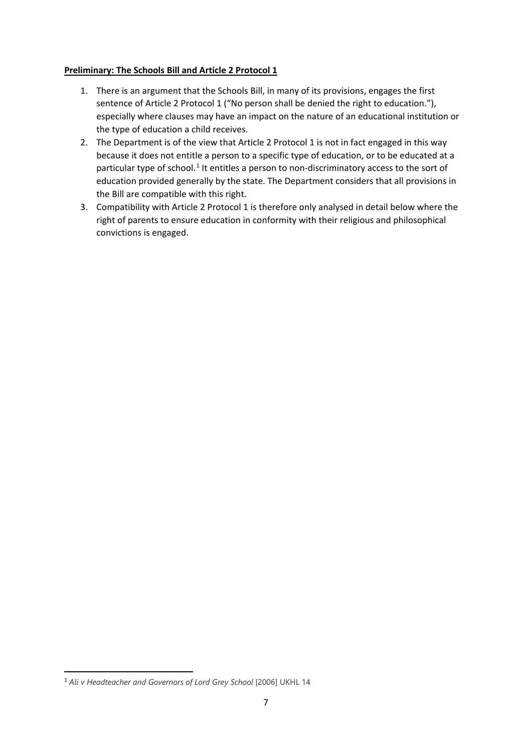## **Preliminary: The Schools Bill and Article 2 Protocol 1**

- 1. There is an argument that the Schools Bill, in many of its provisions, engages the first sentence of Article 2 Protocol 1 ("No person shall be denied the right to education."), especially where clauses may have an impact on the nature of an educational institution or the type of education a child receives.
- 2. The Department is of the view that Article 2 Protocol 1 is not in fact engaged in this way because it does not entitle a person to a specific type of education, or to be educated at a particular type of school.<sup>[1](#page-6-0)</sup> It entitles a person to non-discriminatory access to the sort of education provided generally by the state. The Department considers that all provisions in the Bill are compatible with this right.
- 3. Compatibility with Article 2 Protocol 1 is therefore only analysed in detail below where the right of parents to ensure education in conformity with their religious and philosophical convictions is engaged.

<span id="page-6-0"></span><sup>&</sup>lt;sup>1</sup> Ali v Headteacher and Governors of Lord Grey School [2006] UKHL 14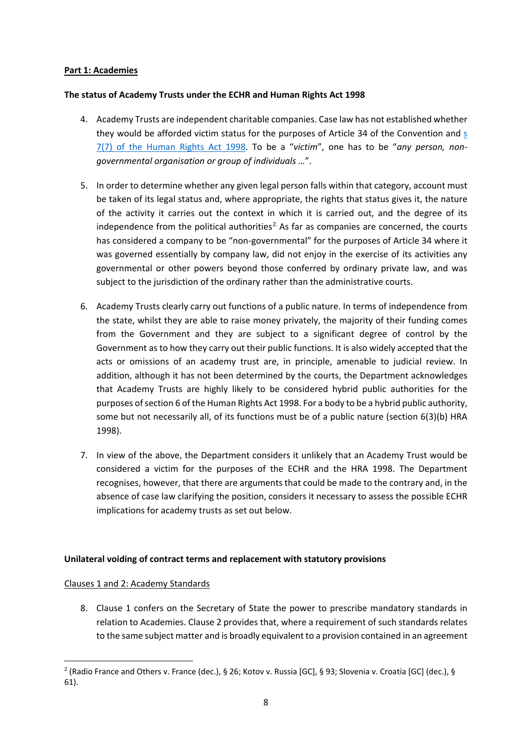## **Part 1: Academies**

## **The status of Academy Trusts under the ECHR and Human Rights Act 1998**

- 4. Academy Trusts are independent charitable companies. Case law has not established whether they would be afforded victim status for the purposes of Article 34 of the Convention and [s](https://www.legislation.gov.uk/ukpga/1998/42/section/7)  [7\(7\) of the Human Rights Act 1998.](https://www.legislation.gov.uk/ukpga/1998/42/section/7) To be a "*victim*", one has to be "*any person, nongovernmental organisation or group of individuals …*".
- 5. In order to determine whether any given legal person falls within that category, account must be taken of its legal status and, where appropriate, the rights that status gives it, the nature of the activity it carries out the context in which it is carried out, and the degree of its independence from the political authorities<sup>[2.](#page-7-0)</sup> As far as companies are concerned, the courts has considered a company to be "non-governmental" for the purposes of Article 34 where it was governed essentially by company law, did not enjoy in the exercise of its activities any governmental or other powers beyond those conferred by ordinary private law, and was subject to the jurisdiction of the ordinary rather than the administrative courts.
- 6. Academy Trusts clearly carry out functions of a public nature. In terms of independence from the state, whilst they are able to raise money privately, the majority of their funding comes from the Government and they are subject to a significant degree of control by the Government as to how they carry out their public functions. It is also widely accepted that the acts or omissions of an academy trust are, in principle, amenable to judicial review. In addition, although it has not been determined by the courts, the Department acknowledges that Academy Trusts are highly likely to be considered hybrid public authorities for the purposes of section 6 of the Human Rights Act 1998. For a body to be a hybrid public authority, some but not necessarily all, of its functions must be of a public nature (section 6(3)(b) HRA 1998).
- 7. In view of the above, the Department considers it unlikely that an Academy Trust would be considered a victim for the purposes of the ECHR and the HRA 1998. The Department recognises, however, that there are arguments that could be made to the contrary and, in the absence of case law clarifying the position, considers it necessary to assess the possible ECHR implications for academy trusts as set out below.

## **Unilateral voiding of contract terms and replacement with statutory provisions**

## Clauses 1 and 2: Academy Standards

8. Clause 1 confers on the Secretary of State the power to prescribe mandatory standards in relation to Academies. Clause 2 provides that, where a requirement of such standards relates to the same subject matter and is broadly equivalent to a provision contained in an agreement

<span id="page-7-0"></span><sup>2</sup> (Radio France and Others v. France (dec.), § 26; Kotov v. Russia [GC], § 93; Slovenia v. Croatia [GC] (dec.), § 61).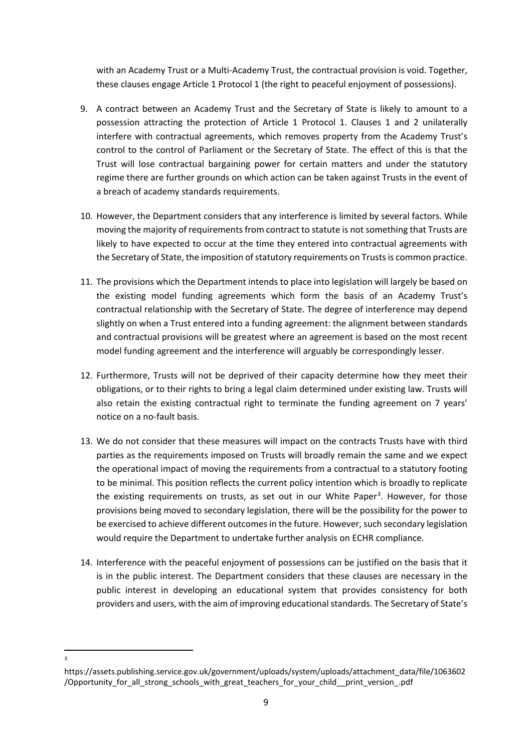with an Academy Trust or a Multi-Academy Trust, the contractual provision is void. Together, these clauses engage Article 1 Protocol 1 (the right to peaceful enjoyment of possessions).

- 9. A contract between an Academy Trust and the Secretary of State is likely to amount to a possession attracting the protection of Article 1 Protocol 1. Clauses 1 and 2 unilaterally interfere with contractual agreements, which removes property from the Academy Trust's control to the control of Parliament or the Secretary of State. The effect of this is that the Trust will lose contractual bargaining power for certain matters and under the statutory regime there are further grounds on which action can be taken against Trusts in the event of a breach of academy standards requirements.
- 10. However, the Department considers that any interference is limited by several factors. While moving the majority of requirements from contract to statute is not something that Trusts are likely to have expected to occur at the time they entered into contractual agreements with the Secretary of State, the imposition of statutory requirements on Trusts is common practice.
- 11. The provisions which the Department intends to place into legislation will largely be based on the existing model funding agreements which form the basis of an Academy Trust's contractual relationship with the Secretary of State. The degree of interference may depend slightly on when a Trust entered into a funding agreement: the alignment between standards and contractual provisions will be greatest where an agreement is based on the most recent model funding agreement and the interference will arguably be correspondingly lesser.
- 12. Furthermore, Trusts will not be deprived of their capacity determine how they meet their obligations, or to their rights to bring a legal claim determined under existing law. Trusts will also retain the existing contractual right to terminate the funding agreement on 7 years' notice on a no-fault basis.
- 13. We do not consider that these measures will impact on the contracts Trusts have with third parties as the requirements imposed on Trusts will broadly remain the same and we expect the operational impact of moving the requirements from a contractual to a statutory footing to be minimal. This position reflects the current policy intention which is broadly to replicate the existing requirements on trusts, as set out in our White Paper<sup>[3](#page-8-0)</sup>. However, for those provisions being moved to secondary legislation, there will be the possibility for the power to be exercised to achieve different outcomes in the future. However, such secondary legislation would require the Department to undertake further analysis on ECHR compliance.
- 14. Interference with the peaceful enjoyment of possessions can be justified on the basis that it is in the public interest. The Department considers that these clauses are necessary in the public interest in developing an educational system that provides consistency for both providers and users, with the aim of improving educational standards. The Secretary of State's

<sup>3</sup>

<span id="page-8-0"></span>https://assets.publishing.service.gov.uk/government/uploads/system/uploads/attachment\_data/file/1063602 /Opportunity for all strong schools with great teachers for your child print version .pdf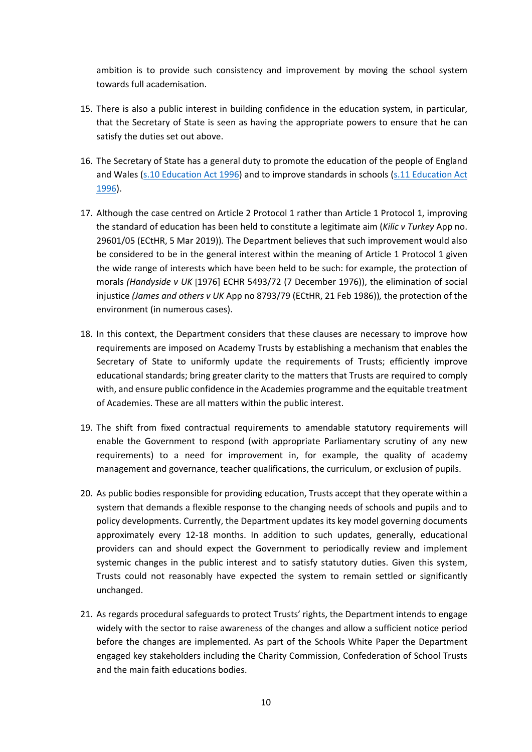ambition is to provide such consistency and improvement by moving the school system towards full academisation.

- 15. There is also a public interest in building confidence in the education system, in particular, that the Secretary of State is seen as having the appropriate powers to ensure that he can satisfy the duties set out above.
- 16. The Secretary of State has a general duty to promote the education of the people of England and Wales [\(s.10 Education Act 1996\)](https://www.legislation.gov.uk/ukpga/1996/56/section/10) and to improve standards in schools (s.11 [Education Act](https://www.legislation.gov.uk/ukpga/1996/56/section/11)  [1996\)](https://www.legislation.gov.uk/ukpga/1996/56/section/11).
- 17. Although the case centred on Article 2 Protocol 1 rather than Article 1 Protocol 1, improving the standard of education has been held to constitute a legitimate aim (*Kilic v Turkey* App no. 29601/05 (ECtHR, 5 Mar 2019))*.* The Department believes that such improvement would also be considered to be in the general interest within the meaning of Article 1 Protocol 1 given the wide range of interests which have been held to be such: for example, the protection of morals *(Handyside v UK* [1976] ECHR 5493/72 (7 December 1976)), the elimination of social injustice *(James and others v UK* App no 8793/79 (ECtHR, 21 Feb 1986))*,* the protection of the environment (in numerous cases).
- 18. In this context, the Department considers that these clauses are necessary to improve how requirements are imposed on Academy Trusts by establishing a mechanism that enables the Secretary of State to uniformly update the requirements of Trusts; efficiently improve educational standards; bring greater clarity to the matters that Trusts are required to comply with, and ensure public confidence in the Academies programme and the equitable treatment of Academies. These are all matters within the public interest.
- 19. The shift from fixed contractual requirements to amendable statutory requirements will enable the Government to respond (with appropriate Parliamentary scrutiny of any new requirements) to a need for improvement in, for example, the quality of academy management and governance, teacher qualifications, the curriculum, or exclusion of pupils.
- 20. As public bodies responsible for providing education, Trusts accept that they operate within a system that demands a flexible response to the changing needs of schools and pupils and to policy developments. Currently, the Department updates its key model governing documents approximately every 12-18 months. In addition to such updates, generally, educational providers can and should expect the Government to periodically review and implement systemic changes in the public interest and to satisfy statutory duties. Given this system, Trusts could not reasonably have expected the system to remain settled or significantly unchanged.
- 21. As regards procedural safeguards to protect Trusts' rights, the Department intends to engage widely with the sector to raise awareness of the changes and allow a sufficient notice period before the changes are implemented. As part of the Schools White Paper the Department engaged key stakeholders including the Charity Commission, Confederation of School Trusts and the main faith educations bodies.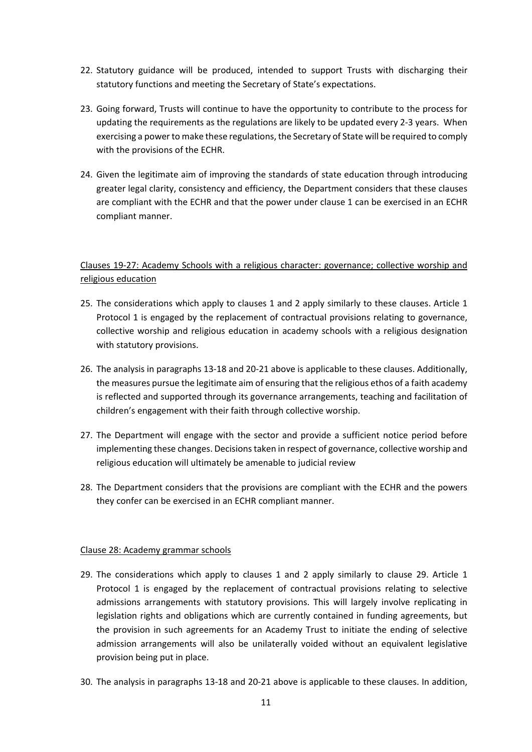- 22. Statutory guidance will be produced, intended to support Trusts with discharging their statutory functions and meeting the Secretary of State's expectations.
- 23. Going forward, Trusts will continue to have the opportunity to contribute to the process for updating the requirements as the regulations are likely to be updated every 2-3 years. When exercising a power to make these regulations, the Secretary of State will be required to comply with the provisions of the ECHR.
- 24. Given the legitimate aim of improving the standards of state education through introducing greater legal clarity, consistency and efficiency, the Department considers that these clauses are compliant with the ECHR and that the power under clause 1 can be exercised in an ECHR compliant manner.

## Clauses 19-27: Academy Schools with a religious character: governance; collective worship and religious education

- 25. The considerations which apply to clauses 1 and 2 apply similarly to these clauses. Article 1 Protocol 1 is engaged by the replacement of contractual provisions relating to governance, collective worship and religious education in academy schools with a religious designation with statutory provisions.
- 26. The analysis in paragraphs 13-18 and 20-21 above is applicable to these clauses. Additionally, the measures pursue the legitimate aim of ensuring that the religious ethos of a faith academy is reflected and supported through its governance arrangements, teaching and facilitation of children's engagement with their faith through collective worship.
- 27. The Department will engage with the sector and provide a sufficient notice period before implementing these changes. Decisions taken in respect of governance, collective worship and religious education will ultimately be amenable to judicial review
- 28. The Department considers that the provisions are compliant with the ECHR and the powers they confer can be exercised in an ECHR compliant manner.

## Clause 28: Academy grammar schools

- 29. The considerations which apply to clauses 1 and 2 apply similarly to clause 29. Article 1 Protocol 1 is engaged by the replacement of contractual provisions relating to selective admissions arrangements with statutory provisions. This will largely involve replicating in legislation rights and obligations which are currently contained in funding agreements, but the provision in such agreements for an Academy Trust to initiate the ending of selective admission arrangements will also be unilaterally voided without an equivalent legislative provision being put in place.
- 30. The analysis in paragraphs 13-18 and 20-21 above is applicable to these clauses. In addition,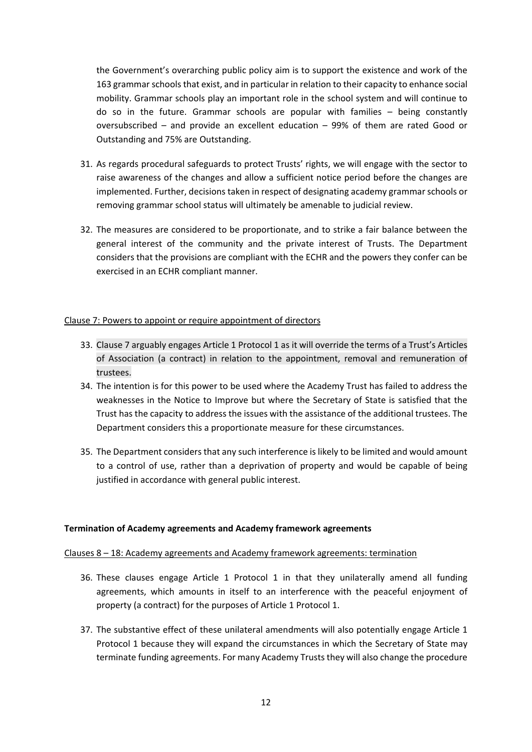the Government's overarching public policy aim is to support the existence and work of the 163 grammar schools that exist, and in particular in relation to their capacity to enhance social mobility. Grammar schools play an important role in the school system and will continue to do so in the future. Grammar schools are popular with families – being constantly oversubscribed – and provide an excellent education – 99% of them are rated Good or Outstanding and 75% are Outstanding.

- 31. As regards procedural safeguards to protect Trusts' rights, we will engage with the sector to raise awareness of the changes and allow a sufficient notice period before the changes are implemented. Further, decisions taken in respect of designating academy grammar schools or removing grammar school status will ultimately be amenable to judicial review.
- 32. The measures are considered to be proportionate, and to strike a fair balance between the general interest of the community and the private interest of Trusts. The Department considers that the provisions are compliant with the ECHR and the powers they confer can be exercised in an ECHR compliant manner.

#### Clause 7: Powers to appoint or require appointment of directors

- 33. Clause 7 arguably engages Article 1 Protocol 1 as it will override the terms of a Trust's Articles of Association (a contract) in relation to the appointment, removal and remuneration of trustees.
- 34. The intention is for this power to be used where the Academy Trust has failed to address the weaknesses in the Notice to Improve but where the Secretary of State is satisfied that the Trust has the capacity to address the issues with the assistance of the additional trustees. The Department considers this a proportionate measure for these circumstances.
- 35. The Department considers that any such interference is likely to be limited and would amount to a control of use, rather than a deprivation of property and would be capable of being justified in accordance with general public interest.

#### **Termination of Academy agreements and Academy framework agreements**

#### Clauses 8 – 18: Academy agreements and Academy framework agreements: termination

- 36. These clauses engage Article 1 Protocol 1 in that they unilaterally amend all funding agreements, which amounts in itself to an interference with the peaceful enjoyment of property (a contract) for the purposes of Article 1 Protocol 1.
- 37. The substantive effect of these unilateral amendments will also potentially engage Article 1 Protocol 1 because they will expand the circumstances in which the Secretary of State may terminate funding agreements. For many Academy Trusts they will also change the procedure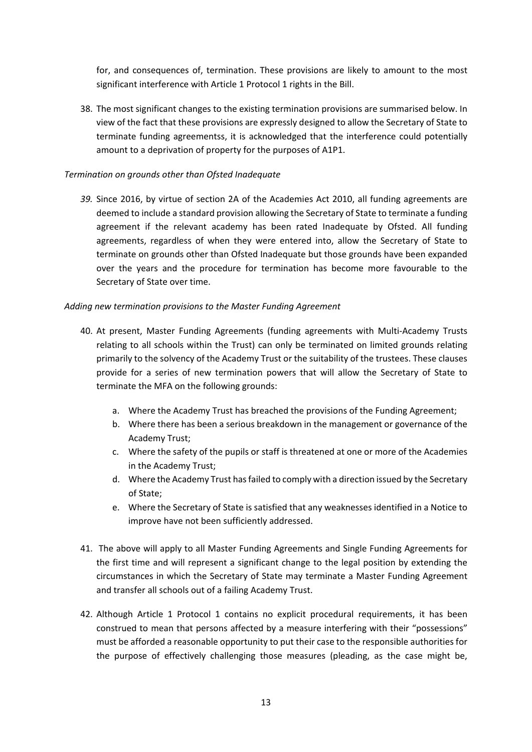for, and consequences of, termination. These provisions are likely to amount to the most significant interference with Article 1 Protocol 1 rights in the Bill.

38. The most significant changes to the existing termination provisions are summarised below. In view of the fact that these provisions are expressly designed to allow the Secretary of State to terminate funding agreementss, it is acknowledged that the interference could potentially amount to a deprivation of property for the purposes of A1P1.

## *Termination on grounds other than Ofsted Inadequate*

*39.* Since 2016, by virtue of section 2A of the Academies Act 2010, all funding agreements are deemed to include a standard provision allowing the Secretary of State to terminate a funding agreement if the relevant academy has been rated Inadequate by Ofsted. All funding agreements, regardless of when they were entered into, allow the Secretary of State to terminate on grounds other than Ofsted Inadequate but those grounds have been expanded over the years and the procedure for termination has become more favourable to the Secretary of State over time.

## *Adding new termination provisions to the Master Funding Agreement*

- 40. At present, Master Funding Agreements (funding agreements with Multi-Academy Trusts relating to all schools within the Trust) can only be terminated on limited grounds relating primarily to the solvency of the Academy Trust or the suitability of the trustees. These clauses provide for a series of new termination powers that will allow the Secretary of State to terminate the MFA on the following grounds:
	- a. Where the Academy Trust has breached the provisions of the Funding Agreement;
	- b. Where there has been a serious breakdown in the management or governance of the Academy Trust;
	- c. Where the safety of the pupils or staff is threatened at one or more of the Academies in the Academy Trust;
	- d. Where the Academy Trust has failed to comply with a direction issued by the Secretary of State;
	- e. Where the Secretary of State is satisfied that any weaknesses identified in a Notice to improve have not been sufficiently addressed.
- 41. The above will apply to all Master Funding Agreements and Single Funding Agreements for the first time and will represent a significant change to the legal position by extending the circumstances in which the Secretary of State may terminate a Master Funding Agreement and transfer all schools out of a failing Academy Trust.
- 42. Although Article 1 Protocol 1 contains no explicit procedural requirements, it has been construed to mean that persons affected by a measure interfering with their "possessions" must be afforded a reasonable opportunity to put their case to the responsible authorities for the purpose of effectively challenging those measures (pleading, as the case might be,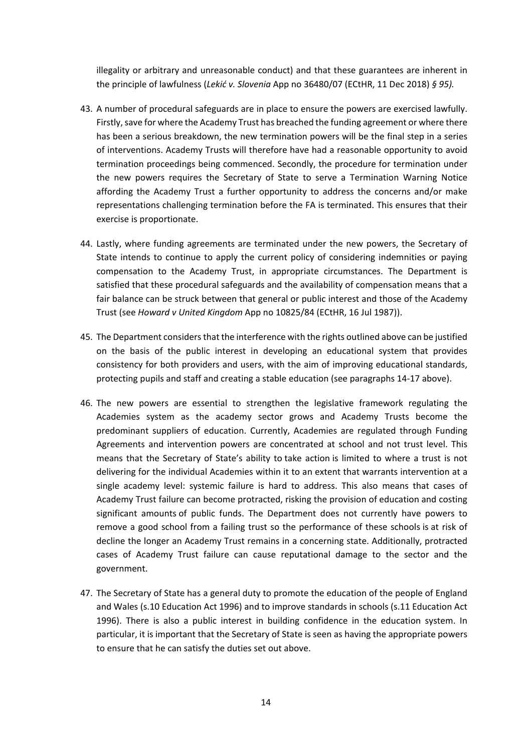illegality or arbitrary and unreasonable conduct) and that these guarantees are inherent in the principle of lawfulness (*Lekić v. Slovenia* App no 36480/07 (ECtHR, 11 Dec 2018) *§ 95).*

- 43. A number of procedural safeguards are in place to ensure the powers are exercised lawfully. Firstly, save for where the Academy Trust has breached the funding agreement or where there has been a serious breakdown, the new termination powers will be the final step in a series of interventions. Academy Trusts will therefore have had a reasonable opportunity to avoid termination proceedings being commenced. Secondly, the procedure for termination under the new powers requires the Secretary of State to serve a Termination Warning Notice affording the Academy Trust a further opportunity to address the concerns and/or make representations challenging termination before the FA is terminated. This ensures that their exercise is proportionate.
- 44. Lastly, where funding agreements are terminated under the new powers, the Secretary of State intends to continue to apply the current policy of considering indemnities or paying compensation to the Academy Trust, in appropriate circumstances. The Department is satisfied that these procedural safeguards and the availability of compensation means that a fair balance can be struck between that general or public interest and those of the Academy Trust (see *Howard v United Kingdom* App no 10825/84 (ECtHR, 16 Jul 1987)).
- 45. The Department considers that the interference with the rights outlined above can be justified on the basis of the public interest in developing an educational system that provides consistency for both providers and users, with the aim of improving educational standards, protecting pupils and staff and creating a stable education (see paragraphs 14-17 above).
- 46. The new powers are essential to strengthen the legislative framework regulating the Academies system as the academy sector grows and Academy Trusts become the predominant suppliers of education. Currently, Academies are regulated through Funding Agreements and intervention powers are concentrated at school and not trust level. This means that the Secretary of State's ability to take action is limited to where a trust is not delivering for the individual Academies within it to an extent that warrants intervention at a single academy level: systemic failure is hard to address. This also means that cases of Academy Trust failure can become protracted, risking the provision of education and costing significant amounts of public funds. The Department does not currently have powers to remove a good school from a failing trust so the performance of these schools is at risk of decline the longer an Academy Trust remains in a concerning state. Additionally, protracted cases of Academy Trust failure can cause reputational damage to the sector and the government.
- 47. The Secretary of State has a general duty to promote the education of the people of England and Wales (s.10 Education Act 1996) and to improve standards in schools (s.11 Education Act 1996). There is also a public interest in building confidence in the education system. In particular, it is important that the Secretary of State is seen as having the appropriate powers to ensure that he can satisfy the duties set out above.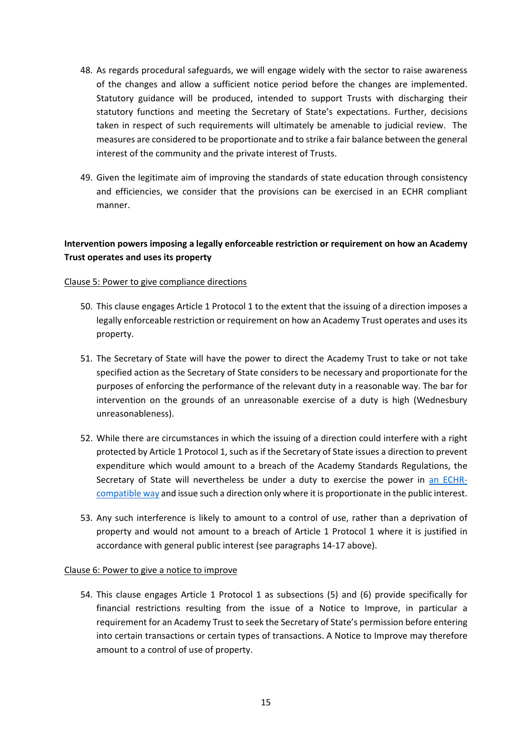- 48. As regards procedural safeguards, we will engage widely with the sector to raise awareness of the changes and allow a sufficient notice period before the changes are implemented. Statutory guidance will be produced, intended to support Trusts with discharging their statutory functions and meeting the Secretary of State's expectations. Further, decisions taken in respect of such requirements will ultimately be amenable to judicial review. The measures are considered to be proportionate and to strike a fair balance between the general interest of the community and the private interest of Trusts.
- 49. Given the legitimate aim of improving the standards of state education through consistency and efficiencies, we consider that the provisions can be exercised in an ECHR compliant manner.

## **Intervention powers imposing a legally enforceable restriction or requirement on how an Academy Trust operates and uses its property**

## Clause 5: Power to give compliance directions

- 50. This clause engages Article 1 Protocol 1 to the extent that the issuing of a direction imposes a legally enforceable restriction or requirement on how an Academy Trust operates and uses its property.
- 51. The Secretary of State will have the power to direct the Academy Trust to take or not take specified action as the Secretary of State considers to be necessary and proportionate for the purposes of enforcing the performance of the relevant duty in a reasonable way. The bar for intervention on the grounds of an unreasonable exercise of a duty is high (Wednesbury unreasonableness).
- 52. While there are circumstances in which the issuing of a direction could interfere with a right protected by Article 1 Protocol 1, such as if the Secretary of State issues a direction to prevent expenditure which would amount to a breach of the Academy Standards Regulations, the Secretary of State will nevertheless be under a duty to exercise the power in [an ECHR](https://www.legislation.gov.uk/ukpga/1998/42/section/6)[compatible way](https://www.legislation.gov.uk/ukpga/1998/42/section/6) and issue such a direction only where it is proportionate in the public interest.
- 53. Any such interference is likely to amount to a control of use, rather than a deprivation of property and would not amount to a breach of Article 1 Protocol 1 where it is justified in accordance with general public interest (see paragraphs 14-17 above).

#### Clause 6: Power to give a notice to improve

54. This clause engages Article 1 Protocol 1 as subsections (5) and (6) provide specifically for financial restrictions resulting from the issue of a Notice to Improve, in particular a requirement for an Academy Trust to seek the Secretary of State's permission before entering into certain transactions or certain types of transactions. A Notice to Improve may therefore amount to a control of use of property.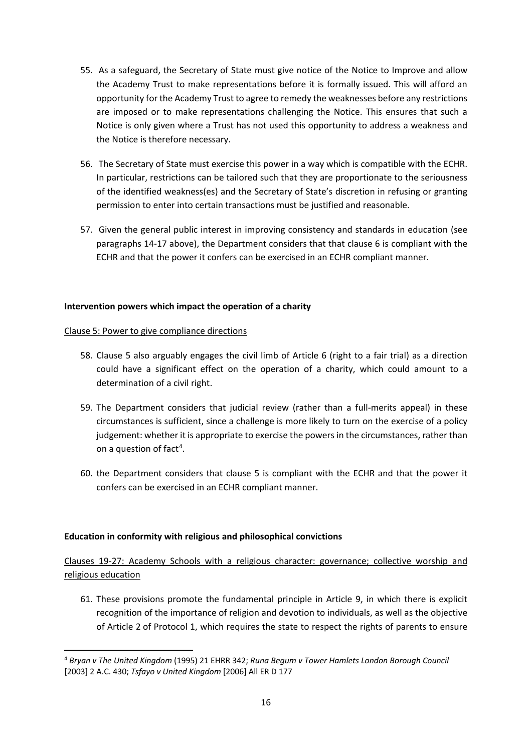- 55. As a safeguard, the Secretary of State must give notice of the Notice to Improve and allow the Academy Trust to make representations before it is formally issued. This will afford an opportunity for the Academy Trust to agree to remedy the weaknesses before any restrictions are imposed or to make representations challenging the Notice. This ensures that such a Notice is only given where a Trust has not used this opportunity to address a weakness and the Notice is therefore necessary.
- 56. The Secretary of State must exercise this power in a way which is compatible with the ECHR. In particular, restrictions can be tailored such that they are proportionate to the seriousness of the identified weakness(es) and the Secretary of State's discretion in refusing or granting permission to enter into certain transactions must be justified and reasonable.
- 57. Given the general public interest in improving consistency and standards in education (see paragraphs 14-17 above), the Department considers that that clause 6 is compliant with the ECHR and that the power it confers can be exercised in an ECHR compliant manner.

## **Intervention powers which impact the operation of a charity**

#### Clause 5: Power to give compliance directions

- 58. Clause 5 also arguably engages the civil limb of Article 6 (right to a fair trial) as a direction could have a significant effect on the operation of a charity, which could amount to a determination of a civil right.
- 59. The Department considers that judicial review (rather than a full-merits appeal) in these circumstances is sufficient, since a challenge is more likely to turn on the exercise of a policy judgement: whether it is appropriate to exercise the powers in the circumstances, rather than on a question of fact<sup>[4](#page-15-0)</sup>.
- 60. the Department considers that clause 5 is compliant with the ECHR and that the power it confers can be exercised in an ECHR compliant manner.

## **Education in conformity with religious and philosophical convictions**

Clauses 19-27: Academy Schools with a religious character: governance; collective worship and religious education

61. These provisions promote the fundamental principle in Article 9, in which there is explicit recognition of the importance of religion and devotion to individuals, as well as the objective of Article 2 of Protocol 1, which requires the state to respect the rights of parents to ensure

<span id="page-15-0"></span><sup>4</sup> *Bryan v The United Kingdom* (1995) 21 EHRR 342; *Runa Begum v Tower Hamlets London Borough Council*  [2003] 2 A.C. 430; *Tsfayo v United Kingdom* [2006] All ER D 177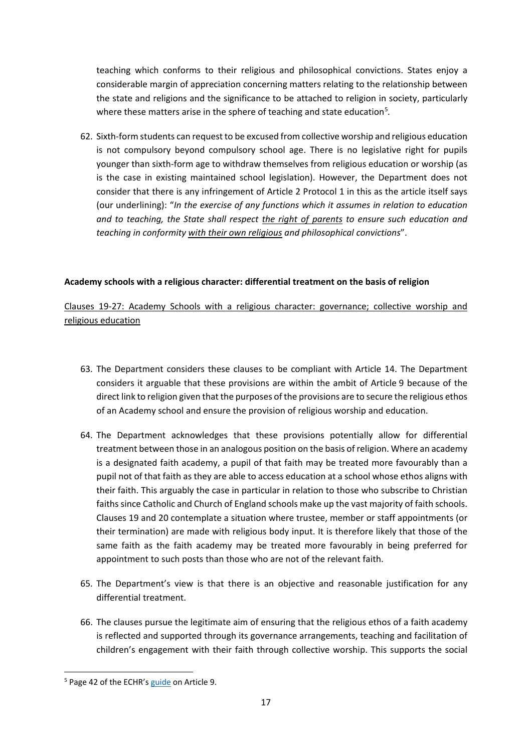teaching which conforms to their religious and philosophical convictions. States enjoy a considerable margin of appreciation concerning matters relating to the relationship between the state and religions and the significance to be attached to religion in society, particularly where these matters arise in the sphere of teaching and state education<sup>[5](#page-16-0)</sup>.

62. Sixth-form students can request to be excused from collective worship and religious education is not compulsory beyond compulsory school age. There is no legislative right for pupils younger than sixth-form age to withdraw themselves from religious education or worship (as is the case in existing maintained school legislation). However, the Department does not consider that there is any infringement of Article 2 Protocol 1 in this as the article itself says (our underlining): "*In the exercise of any functions which it assumes in relation to education and to teaching, the State shall respect the right of parents to ensure such education and teaching in conformity with their own religious and philosophical convictions*".

## **Academy schools with a religious character: differential treatment on the basis of religion**

## Clauses 19-27: Academy Schools with a religious character: governance; collective worship and religious education

- 63. The Department considers these clauses to be compliant with Article 14. The Department considers it arguable that these provisions are within the ambit of Article 9 because of the direct link to religion given that the purposes of the provisions are to secure the religious ethos of an Academy school and ensure the provision of religious worship and education.
- 64. The Department acknowledges that these provisions potentially allow for differential treatment between those in an analogous position on the basis of religion. Where an academy is a designated faith academy, a pupil of that faith may be treated more favourably than a pupil not of that faith as they are able to access education at a school whose ethos aligns with their faith. This arguably the case in particular in relation to those who subscribe to Christian faiths since Catholic and Church of England schools make up the vast majority of faith schools. Clauses 19 and 20 contemplate a situation where trustee, member or staff appointments (or their termination) are made with religious body input. It is therefore likely that those of the same faith as the faith academy may be treated more favourably in being preferred for appointment to such posts than those who are not of the relevant faith.
- 65. The Department's view is that there is an objective and reasonable justification for any differential treatment.
- 66. The clauses pursue the legitimate aim of ensuring that the religious ethos of a faith academy is reflected and supported through its governance arrangements, teaching and facilitation of children's engagement with their faith through collective worship. This supports the social

<span id="page-16-0"></span><sup>&</sup>lt;sup>5</sup> Page 42 of the ECHR's [guide](https://www.echr.coe.int/Documents/Guide_Art_9_ENG.pdf) on Article 9.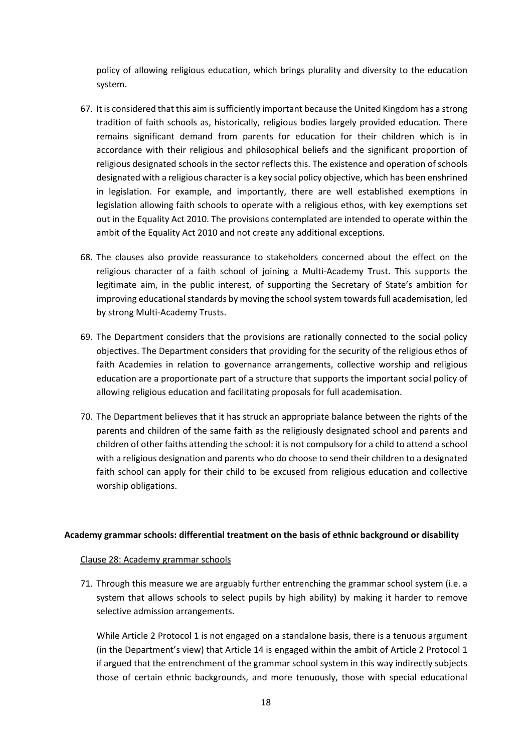policy of allowing religious education, which brings plurality and diversity to the education system.

- 67. It is considered that this aim is sufficiently important because the United Kingdom has a strong tradition of faith schools as, historically, religious bodies largely provided education. There remains significant demand from parents for education for their children which is in accordance with their religious and philosophical beliefs and the significant proportion of religious designated schools in the sector reflects this. The existence and operation of schools designated with a religious character is a key social policy objective, which has been enshrined in legislation. For example, and importantly, there are well established exemptions in legislation allowing faith schools to operate with a religious ethos, with key exemptions set out in the Equality Act 2010. The provisions contemplated are intended to operate within the ambit of the Equality Act 2010 and not create any additional exceptions.
- 68. The clauses also provide reassurance to stakeholders concerned about the effect on the religious character of a faith school of joining a Multi-Academy Trust. This supports the legitimate aim, in the public interest, of supporting the Secretary of State's ambition for improving educational standards by moving the school system towards full academisation, led by strong Multi-Academy Trusts.
- 69. The Department considers that the provisions are rationally connected to the social policy objectives. The Department considers that providing for the security of the religious ethos of faith Academies in relation to governance arrangements, collective worship and religious education are a proportionate part of a structure that supports the important social policy of allowing religious education and facilitating proposals for full academisation.
- 70. The Department believes that it has struck an appropriate balance between the rights of the parents and children of the same faith as the religiously designated school and parents and children of other faiths attending the school: it is not compulsory for a child to attend a school with a religious designation and parents who do choose to send their children to a designated faith school can apply for their child to be excused from religious education and collective worship obligations.

#### **Academy grammar schools: differential treatment on the basis of ethnic background or disability**

#### Clause 28: Academy grammar schools

71. Through this measure we are arguably further entrenching the grammar school system (i.e. a system that allows schools to select pupils by high ability) by making it harder to remove selective admission arrangements.

While Article 2 Protocol 1 is not engaged on a standalone basis, there is a tenuous argument (in the Department's view) that Article 14 is engaged within the ambit of Article 2 Protocol 1 if argued that the entrenchment of the grammar school system in this way indirectly subjects those of certain ethnic backgrounds, and more tenuously, those with special educational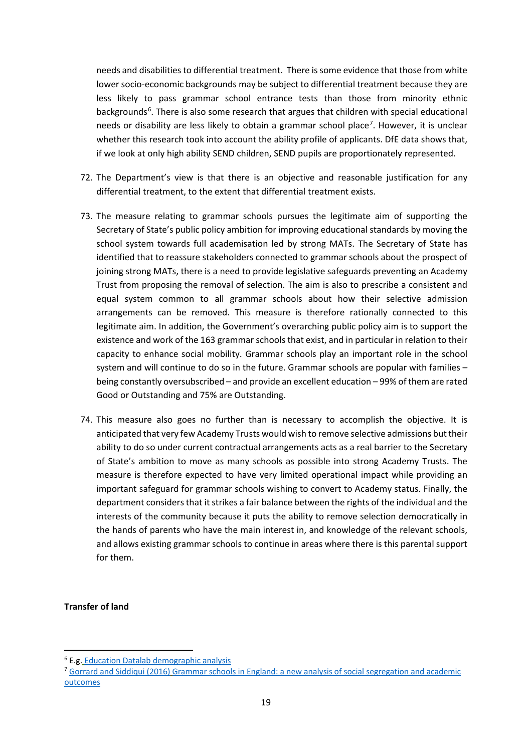needs and disabilities to differential treatment. There is some evidence that those from white lower socio-economic backgrounds may be subject to differential treatment because they are less likely to pass grammar school entrance tests than those from minority ethnic backgrounds<sup>[6](#page-18-0)</sup>. There is also some research that argues that children with special educational needs or disability are less likely to obtain a grammar school place<sup>[7](#page-18-1)</sup>. However, it is unclear whether this research took into account the ability profile of applicants. DfE data shows that, if we look at only high ability SEND children, SEND pupils are proportionately represented.

- 72. The Department's view is that there is an objective and reasonable justification for any differential treatment, to the extent that differential treatment exists.
- 73. The measure relating to grammar schools pursues the legitimate aim of supporting the Secretary of State's public policy ambition for improving educational standards by moving the school system towards full academisation led by strong MATs. The Secretary of State has identified that to reassure stakeholders connected to grammar schools about the prospect of joining strong MATs, there is a need to provide legislative safeguards preventing an Academy Trust from proposing the removal of selection. The aim is also to prescribe a consistent and equal system common to all grammar schools about how their selective admission arrangements can be removed. This measure is therefore rationally connected to this legitimate aim. In addition, the Government's overarching public policy aim is to support the existence and work of the 163 grammar schools that exist, and in particular in relation to their capacity to enhance social mobility. Grammar schools play an important role in the school system and will continue to do so in the future. Grammar schools are popular with families – being constantly oversubscribed – and provide an excellent education – 99% of them are rated Good or Outstanding and 75% are Outstanding.
- 74. This measure also goes no further than is necessary to accomplish the objective. It is anticipated that very few Academy Trusts would wish to remove selective admissions but their ability to do so under current contractual arrangements acts as a real barrier to the Secretary of State's ambition to move as many schools as possible into strong Academy Trusts. The measure is therefore expected to have very limited operational impact while providing an important safeguard for grammar schools wishing to convert to Academy status. Finally, the department considers that it strikes a fair balance between the rights of the individual and the interests of the community because it puts the ability to remove selection democratically in the hands of parents who have the main interest in, and knowledge of the relevant schools, and allows existing grammar schools to continue in areas where there is this parental support for them.

#### **Transfer of land**

<span id="page-18-0"></span><sup>6</sup> E.g. [Education Datalab demographic analysis](https://ffteducationdatalab.org.uk/2016/11/ethnic-minority-groups-are-great-at-passing-the-11-plus/)

<span id="page-18-1"></span><sup>7</sup> Gorrard and Siddiqui (2016) [Grammar schools in England: a new analysis of social segregation and academic](https://www.tandfonline.com/doi/full/10.1080/01425692.2018.1443432)  [outcomes](https://www.tandfonline.com/doi/full/10.1080/01425692.2018.1443432)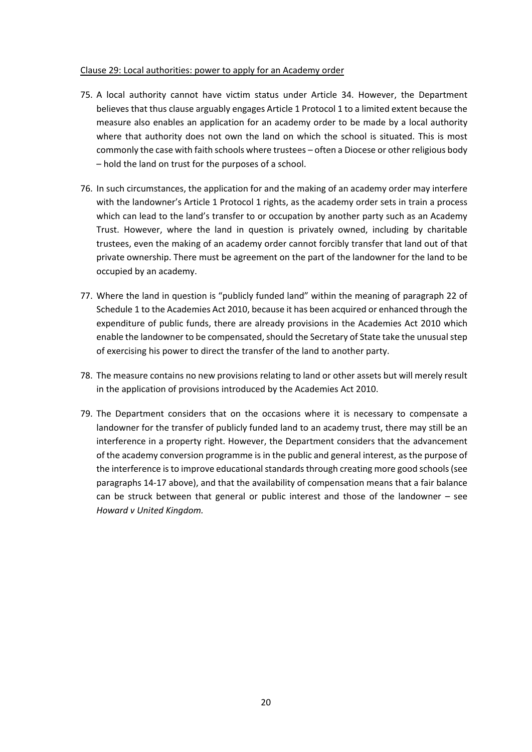#### Clause 29: Local authorities: power to apply for an Academy order

- 75. A local authority cannot have victim status under Article 34. However, the Department believes that thus clause arguably engages Article 1 Protocol 1 to a limited extent because the measure also enables an application for an academy order to be made by a local authority where that authority does not own the land on which the school is situated. This is most commonly the case with faith schools where trustees – often a Diocese or other religious body – hold the land on trust for the purposes of a school.
- 76. In such circumstances, the application for and the making of an academy order may interfere with the landowner's Article 1 Protocol 1 rights, as the academy order sets in train a process which can lead to the land's transfer to or occupation by another party such as an Academy Trust. However, where the land in question is privately owned, including by charitable trustees, even the making of an academy order cannot forcibly transfer that land out of that private ownership. There must be agreement on the part of the landowner for the land to be occupied by an academy.
- 77. Where the land in question is "publicly funded land" within the meaning of paragraph 22 of Schedule 1 to the Academies Act 2010, because it has been acquired or enhanced through the expenditure of public funds, there are already provisions in the Academies Act 2010 which enable the landowner to be compensated, should the Secretary of State take the unusual step of exercising his power to direct the transfer of the land to another party.
- 78. The measure contains no new provisions relating to land or other assets but will merely result in the application of provisions introduced by the Academies Act 2010.
- 79. The Department considers that on the occasions where it is necessary to compensate a landowner for the transfer of publicly funded land to an academy trust, there may still be an interference in a property right. However, the Department considers that the advancement of the academy conversion programme is in the public and general interest, as the purpose of the interference isto improve educational standards through creating more good schools(see paragraphs 14-17 above), and that the availability of compensation means that a fair balance can be struck between that general or public interest and those of the landowner – see *Howard v United Kingdom.*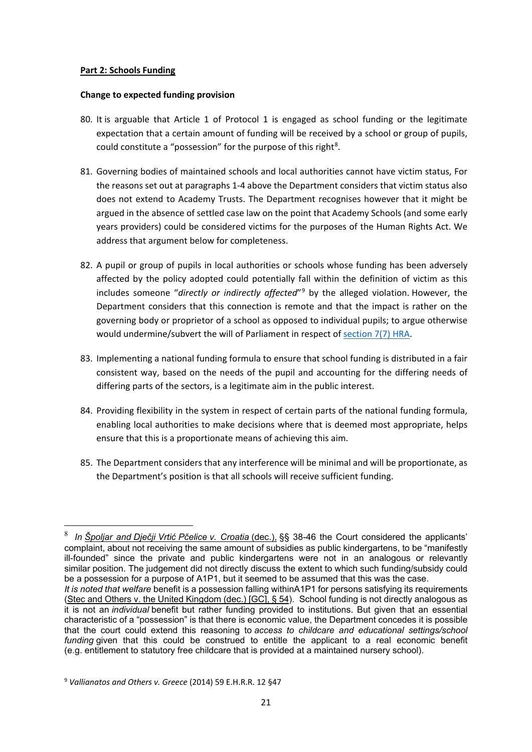### **Part 2: Schools Funding**

#### **Change to expected funding provision**

- 80. It is arguable that Article 1 of Protocol 1 is engaged as school funding or the legitimate expectation that a certain amount of funding will be received by a school or group of pupils, could constitute a "possession" for the purpose of this right<sup>[8](#page-20-0)</sup>.
- 81. Governing bodies of maintained schools and local authorities cannot have victim status, For the reasons set out at paragraphs 1-4 above the Department considers that victim status also does not extend to Academy Trusts. The Department recognises however that it might be argued in the absence of settled case law on the point that Academy Schools (and some early years providers) could be considered victims for the purposes of the Human Rights Act. We address that argument below for completeness.
- 82. A pupil or group of pupils in local authorities or schools whose funding has been adversely affected by the policy adopted could potentially fall within the definition of victim as this includes someone "*directly or indirectly affected*"[9](#page-20-1) by the alleged violation. However, the Department considers that this connection is remote and that the impact is rather on the governing body or proprietor of a school as opposed to individual pupils; to argue otherwise would undermine/subvert the will of Parliament in respect of [section 7\(7\) HRA.](https://www.legislation.gov.uk/ukpga/1998/42/section/7)
- 83. Implementing a national funding formula to ensure that school funding is distributed in a fair consistent way, based on the needs of the pupil and accounting for the differing needs of differing parts of the sectors, is a legitimate aim in the public interest.
- 84. Providing flexibility in the system in respect of certain parts of the national funding formula, enabling local authorities to make decisions where that is deemed most appropriate, helps ensure that this is a proportionate means of achieving this aim.
- 85. The Department considers that any interference will be minimal and will be proportionate, as the Department's position is that all schools will receive sufficient funding.

<span id="page-20-0"></span><sup>8</sup> *In Špoljar and Dječji Vrtić Pčelice v. Croatia* (dec.), §§ 38-46 the Court considered the applicants' complaint, about not receiving the same amount of subsidies as public kindergartens, to be "manifestly ill-founded" since the private and public kindergartens were not in an analogous or relevantly similar position. The judgement did not directly discuss the extent to which such funding/subsidy could be a possession for a purpose of A1P1, but it seemed to be assumed that this was the case.

*It is noted that welfare* benefit is a possession falling withinA1P1 for persons satisfying its requirements (Stec and Others v. the United Kingdom (dec.) [GC], § 54). School funding is not directly analogous as it is not an *individual* benefit but rather funding provided to institutions. But given that an essential characteristic of a "possession" is that there is economic value, the Department concedes it is possible that the court could extend this reasoning to *access to childcare and educational settings/school funding* given that this could be construed to entitle the applicant to a real economic benefit (e.g. entitlement to statutory free childcare that is provided at a maintained nursery school).

<span id="page-20-1"></span><sup>9</sup> *Vallianatos and Others v. Greece* (2014) 59 E.H.R.R. 12 §47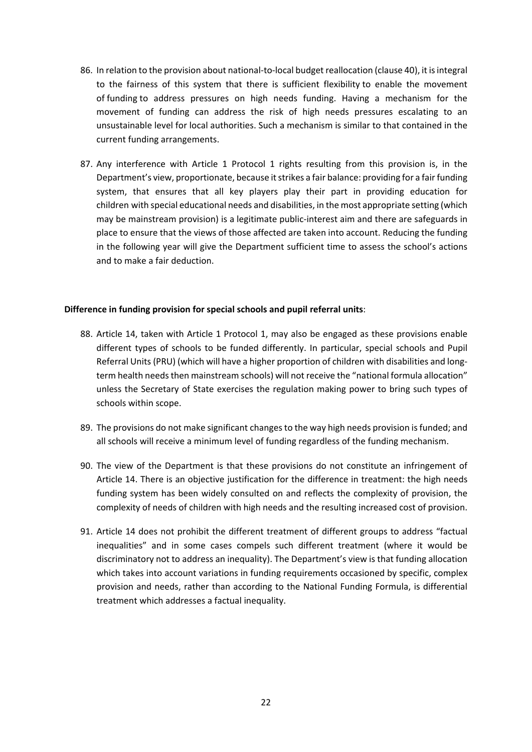- 86. In relation to the provision about national-to-local budget reallocation (clause 40), it is integral to the fairness of this system that there is sufficient flexibility to enable the movement of funding to address pressures on high needs funding. Having a mechanism for the movement of funding can address the risk of high needs pressures escalating to an unsustainable level for local authorities. Such a mechanism is similar to that contained in the current funding arrangements.
- 87. Any interference with Article 1 Protocol 1 rights resulting from this provision is, in the Department's view, proportionate, because it strikes a fair balance: providing for a fair funding system, that ensures that all key players play their part in providing education for children with special educational needs and disabilities, in the most appropriate setting (which may be mainstream provision) is a legitimate public-interest aim and there are safeguards in place to ensure that the views of those affected are taken into account. Reducing the funding in the following year will give the Department sufficient time to assess the school's actions and to make a fair deduction.

#### **Difference in funding provision for special schools and pupil referral units**:

- 88. Article 14, taken with Article 1 Protocol 1, may also be engaged as these provisions enable different types of schools to be funded differently. In particular, special schools and Pupil Referral Units (PRU) (which will have a higher proportion of children with disabilities and longterm health needs then mainstream schools) will not receive the "national formula allocation" unless the Secretary of State exercises the regulation making power to bring such types of schools within scope.
- 89. The provisions do not make significant changes to the way high needs provision is funded; and all schools will receive a minimum level of funding regardless of the funding mechanism.
- 90. The view of the Department is that these provisions do not constitute an infringement of Article 14. There is an objective justification for the difference in treatment: the high needs funding system has been widely consulted on and reflects the complexity of provision, the complexity of needs of children with high needs and the resulting increased cost of provision.
- 91. Article 14 does not prohibit the different treatment of different groups to address "factual inequalities" and in some cases compels such different treatment (where it would be discriminatory not to address an inequality). The Department's view is that funding allocation which takes into account variations in funding requirements occasioned by specific, complex provision and needs, rather than according to the National Funding Formula, is differential treatment which addresses a factual inequality.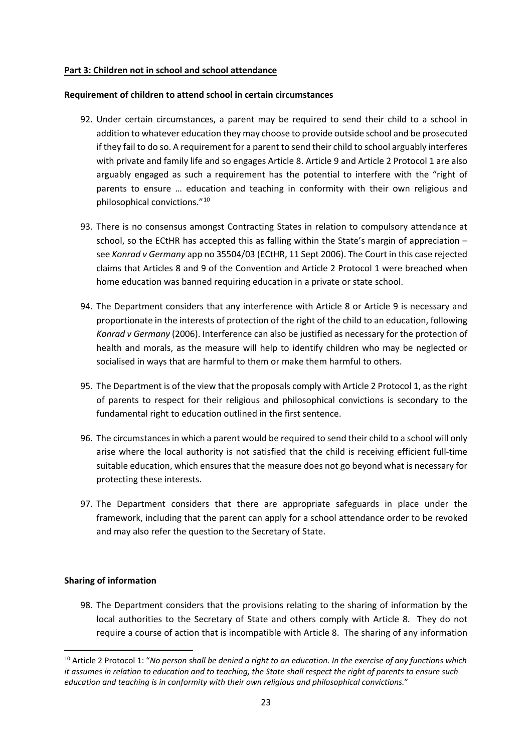### **Part 3: Children not in school and school attendance**

#### **Requirement of children to attend school in certain circumstances**

- 92. Under certain circumstances, a parent may be required to send their child to a school in addition to whatever education they may choose to provide outside school and be prosecuted if they fail to do so. A requirement for a parent to send their child to school arguably interferes with private and family life and so engages Article 8. Article 9 and Article 2 Protocol 1 are also arguably engaged as such a requirement has the potential to interfere with the "right of parents to ensure … education and teaching in conformity with their own religious and philosophical convictions."[10](#page-22-0)
- 93. There is no consensus amongst Contracting States in relation to compulsory attendance at school, so the ECtHR has accepted this as falling within the State's margin of appreciation – see *Konrad v Germany* app no 35504/03 (ECtHR, 11 Sept 2006). The Court in this case rejected claims that Articles 8 and 9 of the Convention and Article 2 Protocol 1 were breached when home education was banned requiring education in a private or state school.
- 94. The Department considers that any interference with Article 8 or Article 9 is necessary and proportionate in the interests of protection of the right of the child to an education, following *Konrad v Germany* (2006). Interference can also be justified as necessary for the protection of health and morals, as the measure will help to identify children who may be neglected or socialised in ways that are harmful to them or make them harmful to others.
- 95. The Department is of the view that the proposals comply with Article 2 Protocol 1, as the right of parents to respect for their religious and philosophical convictions is secondary to the fundamental right to education outlined in the first sentence.
- 96. The circumstances in which a parent would be required to send their child to a school will only arise where the local authority is not satisfied that the child is receiving efficient full-time suitable education, which ensures that the measure does not go beyond what is necessary for protecting these interests.
- 97. The Department considers that there are appropriate safeguards in place under the framework, including that the parent can apply for a school attendance order to be revoked and may also refer the question to the Secretary of State.

#### **Sharing of information**

98. The Department considers that the provisions relating to the sharing of information by the local authorities to the Secretary of State and others comply with Article 8. They do not require a course of action that is incompatible with Article 8. The sharing of any information

<span id="page-22-0"></span><sup>10</sup> Article 2 Protocol 1: "*No person shall be denied a right to an education. In the exercise of any functions which it assumes in relation to education and to teaching, the State shall respect the right of parents to ensure such education and teaching is in conformity with their own religious and philosophical convictions.*"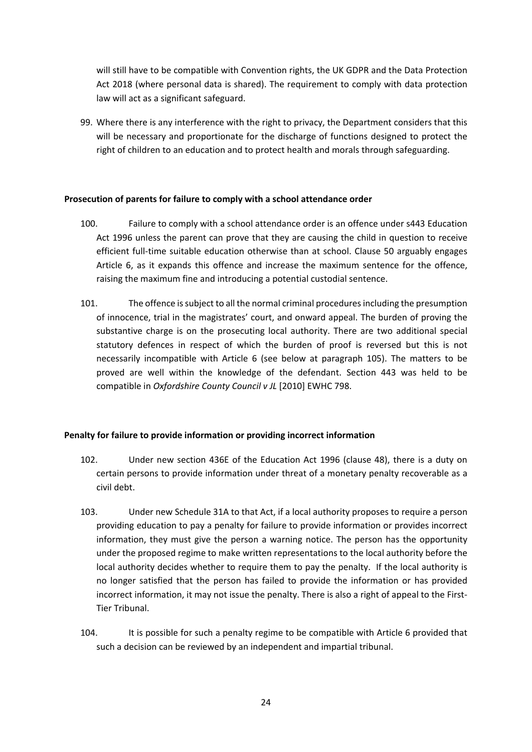will still have to be compatible with Convention rights, the UK GDPR and the Data Protection Act 2018 (where personal data is shared). The requirement to comply with data protection law will act as a significant safeguard.

99. Where there is any interference with the right to privacy, the Department considers that this will be necessary and proportionate for the discharge of functions designed to protect the right of children to an education and to protect health and morals through safeguarding.

## **Prosecution of parents for failure to comply with a school attendance order**

- 100. Failure to comply with a school attendance order is an offence under s443 Education Act 1996 unless the parent can prove that they are causing the child in question to receive efficient full-time suitable education otherwise than at school. Clause 50 arguably engages Article 6, as it expands this offence and increase the maximum sentence for the offence, raising the maximum fine and introducing a potential custodial sentence.
- 101. The offence issubject to all the normal criminal procedures including the presumption of innocence, trial in the magistrates' court, and onward appeal. The burden of proving the substantive charge is on the prosecuting local authority. There are two additional special statutory defences in respect of which the burden of proof is reversed but this is not necessarily incompatible with Article 6 (see below at paragraph 105). The matters to be proved are well within the knowledge of the defendant. Section 443 was held to be compatible in *Oxfordshire County Council v JL* [2010] EWHC 798.

#### **Penalty for failure to provide information or providing incorrect information**

- 102. Under new section 436E of the Education Act 1996 (clause 48), there is a duty on certain persons to provide information under threat of a monetary penalty recoverable as a civil debt.
- 103. Under new Schedule 31A to that Act, if a local authority proposes to require a person providing education to pay a penalty for failure to provide information or provides incorrect information, they must give the person a warning notice. The person has the opportunity under the proposed regime to make written representations to the local authority before the local authority decides whether to require them to pay the penalty. If the local authority is no longer satisfied that the person has failed to provide the information or has provided incorrect information, it may not issue the penalty. There is also a right of appeal to the First-Tier Tribunal.
- 104. It is possible for such a penalty regime to be compatible with Article 6 provided that such a decision can be reviewed by an independent and impartial tribunal.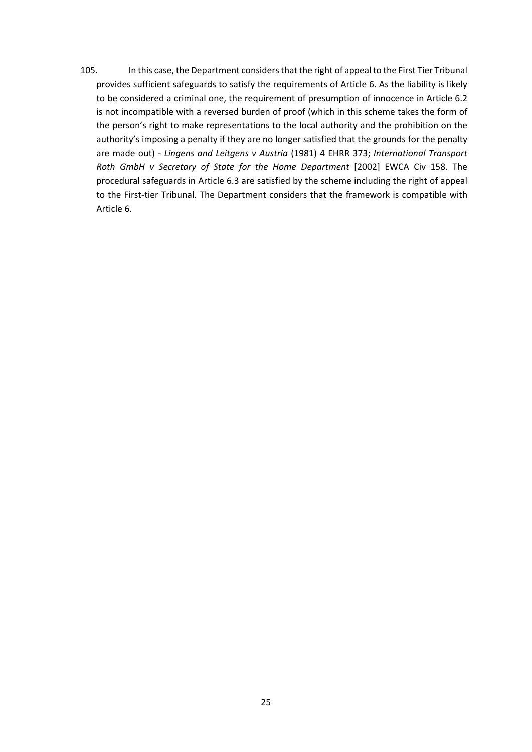105. In this case, the Department considers that the right of appeal to the First Tier Tribunal provides sufficient safeguards to satisfy the requirements of Article 6. As the liability is likely to be considered a criminal one, the requirement of presumption of innocence in Article 6.2 is not incompatible with a reversed burden of proof (which in this scheme takes the form of the person's right to make representations to the local authority and the prohibition on the authority's imposing a penalty if they are no longer satisfied that the grounds for the penalty are made out) - *Lingens and Leitgens v Austria* (1981) 4 EHRR 373; *International Transport Roth GmbH v Secretary of State for the Home Department* [2002] EWCA Civ 158. The procedural safeguards in Article 6.3 are satisfied by the scheme including the right of appeal to the First-tier Tribunal. The Department considers that the framework is compatible with Article 6.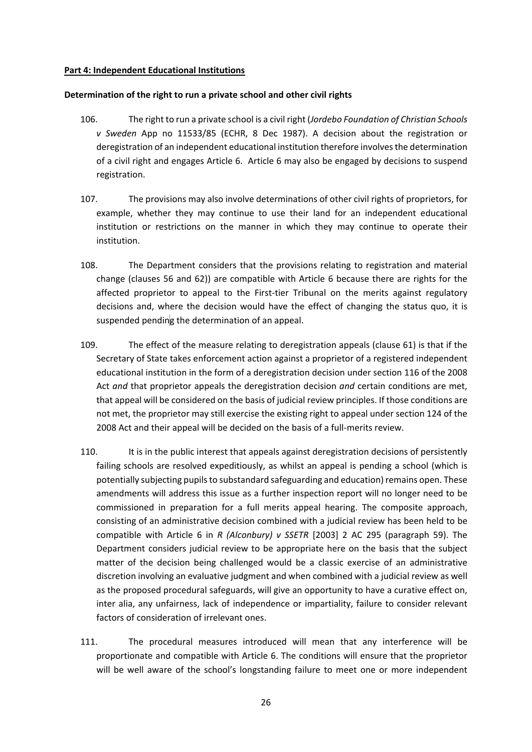### **Part 4: Independent Educational Institutions**

#### **Determination of the right to run a private school and other civil rights**

- 106. The right to run a private school is a civil right (*Jordebo Foundation of Christian Schools v Sweden* App no 11533/85 (ECHR, 8 Dec 1987). A decision about the registration or deregistration of an independent educational institution therefore involves the determination of a civil right and engages Article 6. Article 6 may also be engaged by decisions to suspend registration.
- 107. The provisions may also involve determinations of other civil rights of proprietors, for example, whether they may continue to use their land for an independent educational institution or restrictions on the manner in which they may continue to operate their institution.
- 108. The Department considers that the provisions relating to registration and material change (clauses 56 and 62)) are compatible with Article 6 because there are rights for the affected proprietor to appeal to the First-tier Tribunal on the merits against regulatory decisions and, where the decision would have the effect of changing the status quo, it is suspended pending the determination of an appeal.
- 109. The effect of the measure relating to deregistration appeals (clause 61) is that if the Secretary of State takes enforcement action against a proprietor of a registered independent educational institution in the form of a deregistration decision under section 116 of the 2008 Act *and* that proprietor appeals the deregistration decision *and* certain conditions are met, that appeal will be considered on the basis of judicial review principles. If those conditions are not met, the proprietor may still exercise the existing right to appeal under section 124 of the 2008 Act and their appeal will be decided on the basis of a full-merits review.
- 110. It is in the public interest that appeals against deregistration decisions of persistently failing schools are resolved expeditiously, as whilst an appeal is pending a school (which is potentially subjecting pupils to substandard safeguarding and education) remains open. These amendments will address this issue as a further inspection report will no longer need to be commissioned in preparation for a full merits appeal hearing. The composite approach, consisting of an administrative decision combined with a judicial review has been held to be compatible with Article 6 in *R (Alconbury) v SSETR* [2003] 2 AC 295 (paragraph 59). The Department considers judicial review to be appropriate here on the basis that the subject matter of the decision being challenged would be a classic exercise of an administrative discretion involving an evaluative judgment and when combined with a judicial review as well as the proposed procedural safeguards, will give an opportunity to have a curative effect on, inter alia, any unfairness, lack of independence or impartiality, failure to consider relevant factors of consideration of irrelevant ones.
- 111. The procedural measures introduced will mean that any interference will be proportionate and compatible with Article 6. The conditions will ensure that the proprietor will be well aware of the school's longstanding failure to meet one or more independent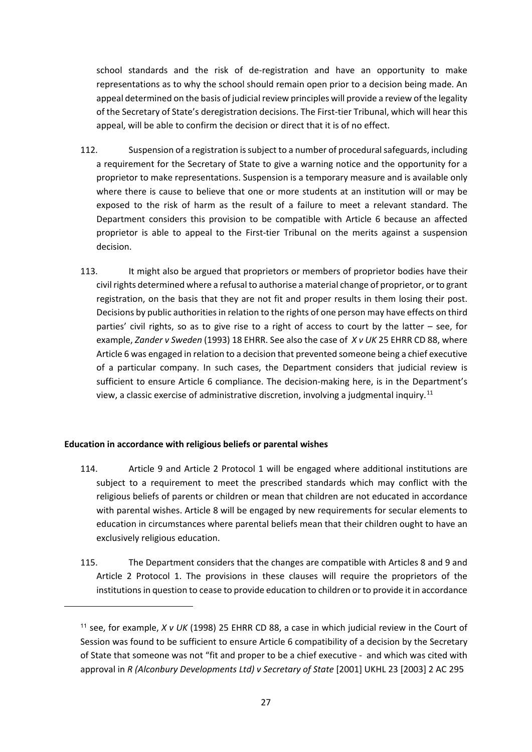school standards and the risk of de-registration and have an opportunity to make representations as to why the school should remain open prior to a decision being made. An appeal determined on the basis of judicial review principles will provide a review of the legality of the Secretary of State's deregistration decisions. The First-tier Tribunal, which will hear this appeal, will be able to confirm the decision or direct that it is of no effect.

- 112. Suspension of a registration is subject to a number of procedural safeguards, including a requirement for the Secretary of State to give a warning notice and the opportunity for a proprietor to make representations. Suspension is a temporary measure and is available only where there is cause to believe that one or more students at an institution will or may be exposed to the risk of harm as the result of a failure to meet a relevant standard. The Department considers this provision to be compatible with Article 6 because an affected proprietor is able to appeal to the First-tier Tribunal on the merits against a suspension decision.
- 113. It might also be argued that proprietors or members of proprietor bodies have their civil rights determined where a refusal to authorise a material change of proprietor, or to grant registration, on the basis that they are not fit and proper results in them losing their post. Decisions by public authorities in relation to the rights of one person may have effects on third parties' civil rights, so as to give rise to a right of access to court by the latter – see, for example, *Zander v Sweden* (1993) 18 EHRR. See also the case of *X v UK* 25 EHRR CD 88, where Article 6 was engaged in relation to a decision that prevented someone being a chief executive of a particular company. In such cases, the Department considers that judicial review is sufficient to ensure Article 6 compliance. The decision-making here, is in the Department's view, a classic exercise of administrative discretion, involving a judgmental inquiry.[11](#page-26-0)

#### **Education in accordance with religious beliefs or parental wishes**

- 114. Article 9 and Article 2 Protocol 1 will be engaged where additional institutions are subject to a requirement to meet the prescribed standards which may conflict with the religious beliefs of parents or children or mean that children are not educated in accordance with parental wishes. Article 8 will be engaged by new requirements for secular elements to education in circumstances where parental beliefs mean that their children ought to have an exclusively religious education.
- 115. The Department considers that the changes are compatible with Articles 8 and 9 and Article 2 Protocol 1. The provisions in these clauses will require the proprietors of the institutions in question to cease to provide education to children or to provide it in accordance

<span id="page-26-0"></span><sup>11</sup> see, for example, *X v UK* (1998) 25 EHRR CD 88, a case in which judicial review in the Court of Session was found to be sufficient to ensure Article 6 compatibility of a decision by the Secretary of State that someone was not "fit and proper to be a chief executive - and which was cited with approval in *R (Alconbury Developments Ltd) v Secretary of State* [2001] UKHL 23 [2003] 2 AC 295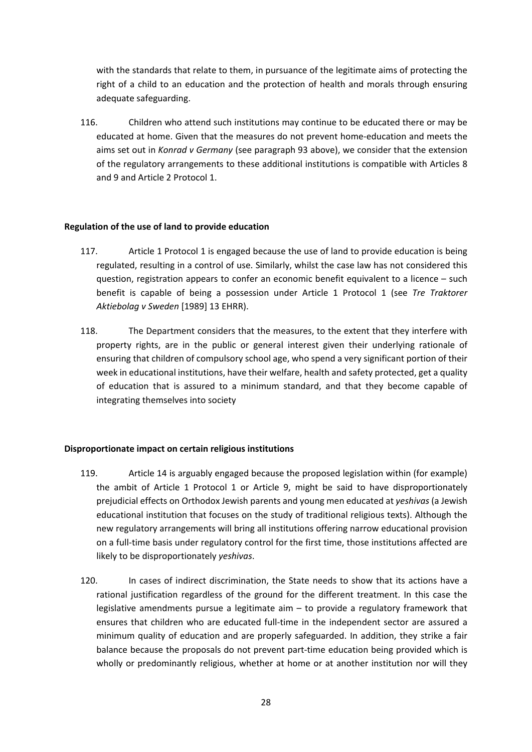with the standards that relate to them, in pursuance of the legitimate aims of protecting the right of a child to an education and the protection of health and morals through ensuring adequate safeguarding.

116. Children who attend such institutions may continue to be educated there or may be educated at home. Given that the measures do not prevent home-education and meets the aims set out in *Konrad v Germany* (see paragraph 93 above), we consider that the extension of the regulatory arrangements to these additional institutions is compatible with Articles 8 and 9 and Article 2 Protocol 1.

#### **Regulation of the use of land to provide education**

- 117. Article 1 Protocol 1 is engaged because the use of land to provide education is being regulated, resulting in a control of use. Similarly, whilst the case law has not considered this question, registration appears to confer an economic benefit equivalent to a licence – such benefit is capable of being a possession under Article 1 Protocol 1 (see *Tre Traktorer Aktiebolag v Sweden* [1989] 13 EHRR).
- 118. The Department considers that the measures, to the extent that they interfere with property rights, are in the public or general interest given their underlying rationale of ensuring that children of compulsory school age, who spend a very significant portion of their week in educational institutions, have their welfare, health and safety protected, get a quality of education that is assured to a minimum standard, and that they become capable of integrating themselves into society

#### **Disproportionate impact on certain religious institutions**

- 119. Article 14 is arguably engaged because the proposed legislation within (for example) the ambit of Article 1 Protocol 1 or Article 9, might be said to have disproportionately prejudicial effects on Orthodox Jewish parents and young men educated at *yeshivas* (a Jewish educational institution that focuses on the study of traditional religious texts). Although the new regulatory arrangements will bring all institutions offering narrow educational provision on a full-time basis under regulatory control for the first time, those institutions affected are likely to be disproportionately *yeshivas*.
- 120. In cases of indirect discrimination, the State needs to show that its actions have a rational justification regardless of the ground for the different treatment. In this case the legislative amendments pursue a legitimate aim – to provide a regulatory framework that ensures that children who are educated full-time in the independent sector are assured a minimum quality of education and are properly safeguarded. In addition, they strike a fair balance because the proposals do not prevent part-time education being provided which is wholly or predominantly religious, whether at home or at another institution nor will they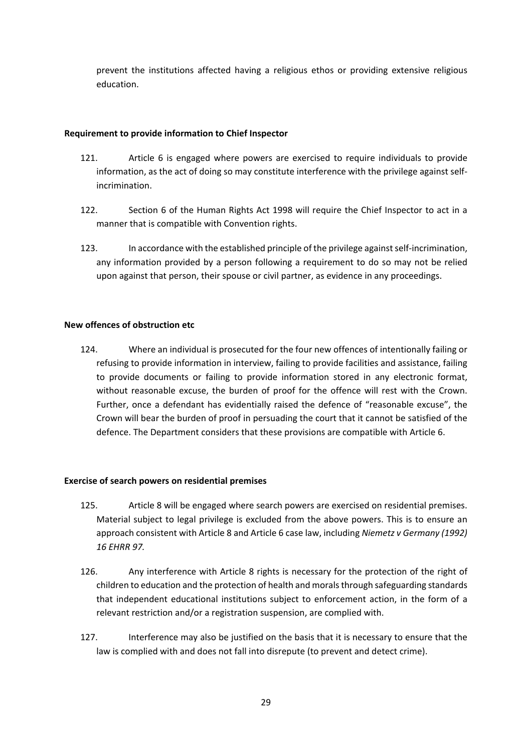prevent the institutions affected having a religious ethos or providing extensive religious education.

## **Requirement to provide information to Chief Inspector**

- 121. Article 6 is engaged where powers are exercised to require individuals to provide information, as the act of doing so may constitute interference with the privilege against selfincrimination.
- 122. Section 6 of the Human Rights Act 1998 will require the Chief Inspector to act in a manner that is compatible with Convention rights.
- 123. In accordance with the established principle of the privilege against self-incrimination, any information provided by a person following a requirement to do so may not be relied upon against that person, their spouse or civil partner, as evidence in any proceedings.

## **New offences of obstruction etc**

124. Where an individual is prosecuted for the four new offences of intentionally failing or refusing to provide information in interview, failing to provide facilities and assistance, failing to provide documents or failing to provide information stored in any electronic format, without reasonable excuse, the burden of proof for the offence will rest with the Crown. Further, once a defendant has evidentially raised the defence of "reasonable excuse", the Crown will bear the burden of proof in persuading the court that it cannot be satisfied of the defence. The Department considers that these provisions are compatible with Article 6.

## **Exercise of search powers on residential premises**

- 125. Article 8 will be engaged where search powers are exercised on residential premises. Material subject to legal privilege is excluded from the above powers. This is to ensure an approach consistent with Article 8 and Article 6 case law, including *Niemetz v Germany (1992) 16 EHRR 97.*
- 126. Any interference with Article 8 rights is necessary for the protection of the right of children to education and the protection of health and morals through safeguarding standards that independent educational institutions subject to enforcement action, in the form of a relevant restriction and/or a registration suspension, are complied with.
- 127. Interference may also be justified on the basis that it is necessary to ensure that the law is complied with and does not fall into disrepute (to prevent and detect crime).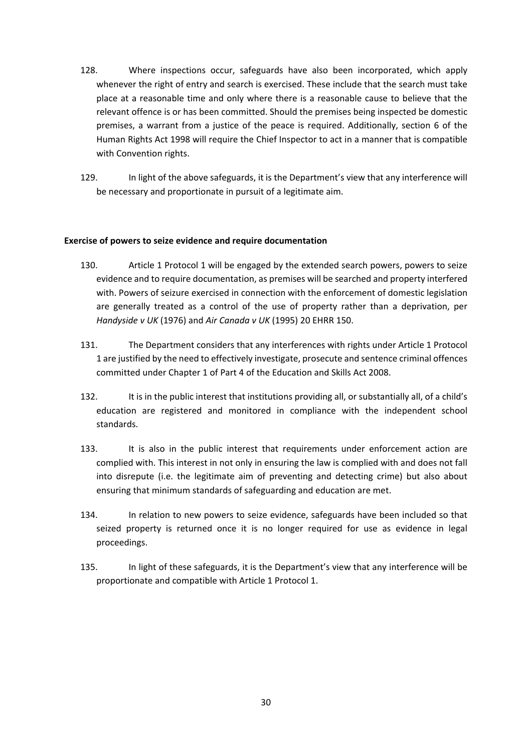- 128. Where inspections occur, safeguards have also been incorporated, which apply whenever the right of entry and search is exercised. These include that the search must take place at a reasonable time and only where there is a reasonable cause to believe that the relevant offence is or has been committed. Should the premises being inspected be domestic premises, a warrant from a justice of the peace is required. Additionally, section 6 of the Human Rights Act 1998 will require the Chief Inspector to act in a manner that is compatible with Convention rights.
- 129. In light of the above safeguards, it is the Department's view that any interference will be necessary and proportionate in pursuit of a legitimate aim.

#### **Exercise of powers to seize evidence and require documentation**

- 130. Article 1 Protocol 1 will be engaged by the extended search powers, powers to seize evidence and to require documentation, as premises will be searched and property interfered with. Powers of seizure exercised in connection with the enforcement of domestic legislation are generally treated as a control of the use of property rather than a deprivation, per *Handyside v UK* (1976) and *Air Canada v UK* (1995) 20 EHRR 150.
- 131. The Department considers that any interferences with rights under Article 1 Protocol 1 are justified by the need to effectively investigate, prosecute and sentence criminal offences committed under Chapter 1 of Part 4 of the Education and Skills Act 2008.
- 132. It is in the public interest that institutions providing all, or substantially all, of a child's education are registered and monitored in compliance with the independent school standards.
- 133. It is also in the public interest that requirements under enforcement action are complied with. This interest in not only in ensuring the law is complied with and does not fall into disrepute (i.e. the legitimate aim of preventing and detecting crime) but also about ensuring that minimum standards of safeguarding and education are met.
- 134. In relation to new powers to seize evidence, safeguards have been included so that seized property is returned once it is no longer required for use as evidence in legal proceedings.
- 135. In light of these safeguards, it is the Department's view that any interference will be proportionate and compatible with Article 1 Protocol 1.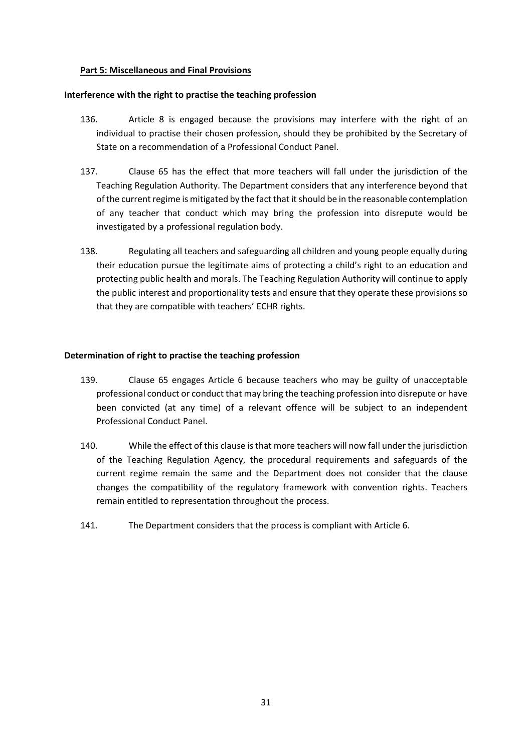## **Part 5: Miscellaneous and Final Provisions**

### **Interference with the right to practise the teaching profession**

- 136. Article 8 is engaged because the provisions may interfere with the right of an individual to practise their chosen profession, should they be prohibited by the Secretary of State on a recommendation of a Professional Conduct Panel.
- 137. Clause 65 has the effect that more teachers will fall under the jurisdiction of the Teaching Regulation Authority. The Department considers that any interference beyond that of the current regime is mitigated by the fact that it should be in the reasonable contemplation of any teacher that conduct which may bring the profession into disrepute would be investigated by a professional regulation body.
- 138. Regulating all teachers and safeguarding all children and young people equally during their education pursue the legitimate aims of protecting a child's right to an education and protecting public health and morals. The Teaching Regulation Authority will continue to apply the public interest and proportionality tests and ensure that they operate these provisions so that they are compatible with teachers' ECHR rights.

## **Determination of right to practise the teaching profession**

- 139. Clause 65 engages Article 6 because teachers who may be guilty of unacceptable professional conduct or conduct that may bring the teaching profession into disrepute or have been convicted (at any time) of a relevant offence will be subject to an independent Professional Conduct Panel.
- 140. While the effect of this clause is that more teachers will now fall under the jurisdiction of the Teaching Regulation Agency, the procedural requirements and safeguards of the current regime remain the same and the Department does not consider that the clause changes the compatibility of the regulatory framework with convention rights. Teachers remain entitled to representation throughout the process.
- 141. The Department considers that the process is compliant with Article 6.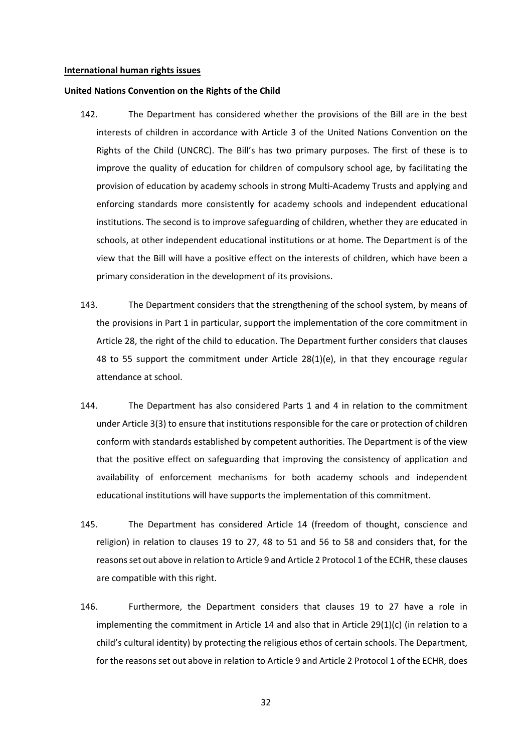#### **International human rights issues**

#### **United Nations Convention on the Rights of the Child**

- 142. The Department has considered whether the provisions of the Bill are in the best interests of children in accordance with Article 3 of the United Nations Convention on the Rights of the Child (UNCRC). The Bill's has two primary purposes. The first of these is to improve the quality of education for children of compulsory school age, by facilitating the provision of education by academy schools in strong Multi-Academy Trusts and applying and enforcing standards more consistently for academy schools and independent educational institutions. The second is to improve safeguarding of children, whether they are educated in schools, at other independent educational institutions or at home. The Department is of the view that the Bill will have a positive effect on the interests of children, which have been a primary consideration in the development of its provisions.
- 143. The Department considers that the strengthening of the school system, by means of the provisions in Part 1 in particular, support the implementation of the core commitment in Article 28, the right of the child to education. The Department further considers that clauses 48 to 55 support the commitment under Article 28(1)(e), in that they encourage regular attendance at school.
- 144. The Department has also considered Parts 1 and 4 in relation to the commitment under Article 3(3) to ensure that institutions responsible for the care or protection of children conform with standards established by competent authorities. The Department is of the view that the positive effect on safeguarding that improving the consistency of application and availability of enforcement mechanisms for both academy schools and independent educational institutions will have supports the implementation of this commitment.
- 145. The Department has considered Article 14 (freedom of thought, conscience and religion) in relation to clauses 19 to 27, 48 to 51 and 56 to 58 and considers that, for the reasons set out above in relation to Article 9 and Article 2 Protocol 1 of the ECHR, these clauses are compatible with this right.
- 146. Furthermore, the Department considers that clauses 19 to 27 have a role in implementing the commitment in Article 14 and also that in Article 29(1)(c) (in relation to a child's cultural identity) by protecting the religious ethos of certain schools. The Department, for the reasons set out above in relation to Article 9 and Article 2 Protocol 1 of the ECHR, does